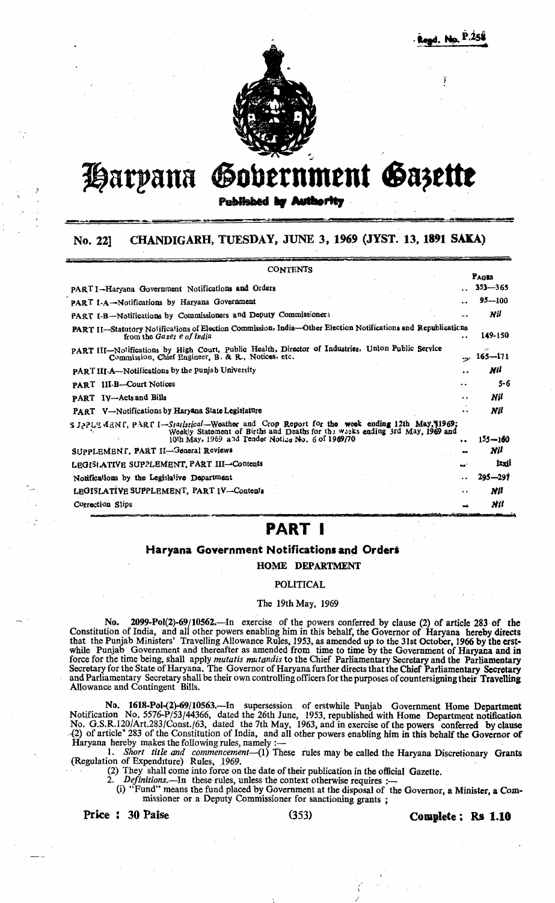

# Harpana Gobernment Gazette

Published by Authority

#### CHANDIGARH, TUESDAY, JUNE 3, 1969 (JYST. 13, 1891 SAKA) No. 221

| <b>CONTENTS</b>                                                                                                                                                                                                                              |                             |
|----------------------------------------------------------------------------------------------------------------------------------------------------------------------------------------------------------------------------------------------|-----------------------------|
| PART I-Haryana Government Notifications and Orders                                                                                                                                                                                           | PAGES<br>$353 - 365$        |
| PART I-A-Notifications by Haryana Government<br>                                                                                                                                                                                             | $95 - 100$                  |
| PART I-B-Notifications by Commissioners and Deputy Commissioners<br>$\ddotsc$                                                                                                                                                                | Nil                         |
| PART II-Statutory Notifications of Election Commission, India-Other Election Notifications and Republications<br>from the Gazer e of India<br>$\ddot{\phantom{0}}$                                                                           | 149-150                     |
| PART III-Notifications by High Court, Public Health, Director of Industries, Union Public Service<br>Commission, Chief Engineer, B. & R., Notices, etc.                                                                                      | $165 - 171$<br>$\sim$       |
| PART III-A-Notifications by the Punjab University                                                                                                                                                                                            | Nil<br>                     |
| PART III-B-Court Notices<br>. .                                                                                                                                                                                                              | $5 - 6$                     |
| <b>PART</b> IV-Acts and Bills                                                                                                                                                                                                                | Nil<br>$\ddot{\phantom{a}}$ |
| PART V-Notifications by Haryana State Legislature                                                                                                                                                                                            | Nil<br>. .                  |
| SJ2PLEMENI, PARI I-Statistical-Weather and Crop Report for the week ending 12th May, 1969;<br>Weekly Statement of Births and Deaths for the weeks ending 3rd May, 1969 and<br>10th May, 1969 and Tender Notice No. 6 of 1969/70<br>$\bullet$ | $155 - 160$                 |
| SUPPLEMENT, PART II-General Reviews                                                                                                                                                                                                          | Nil                         |
| LEGISLATIVE SUPPLEMENT, PART III-Contents<br>tat "                                                                                                                                                                                           | lxxii                       |
| Notifications by the Legislative Department<br>$\ddot{\phantom{0}}$                                                                                                                                                                          | $295 - 297$                 |
| LEGISLATIVE SUPPLEMENT, PART 1V-Contents                                                                                                                                                                                                     | Nil<br>$\ddot{\phantom{0}}$ |
| Correction Slips                                                                                                                                                                                                                             | Nil                         |

# **PART I**

### Haryana Government Notifications and Orders

**HOME DEPARTMENT** 

#### **POLITICAL**

#### The 19th May, 1969

No. 2099-Pol(2)-69/10562.—In exercise of the powers conferred by clause (2) of article 283 of the Constitution of India, and all other powers enabling him in this behalf, the Governor of Haryana hereby directs that the Pun

No. 1618-Pol-(2)-69/10563.—In supersession of erstwhile Punjab Government Home Department<br>Notification No. 5576-P/53/44366, dated the 26th June, 1953, republished with Home Department notification<br>No. G.S.R.120/Art.283/Con

Haryana hereby makes the following rules, namely :-<br>1. Short title and commencement-(1) These rules may be called the Haryana Discretionary Grants<br>(Regulation of Expenditure) Rules, 1969. (2) They shall come into force on the date of their publication in the official Gazette.<br>2. Definitions — In these rules unless the context of the state of the official Gazette.

Definitions.—In these rules, unless the context otherwise requires :—<br>(i) "Fund" means the fund placed by Government at the disposal of the Governor, a Minister, a Commissioner or a Deputy Commissioner for sanctioning grants;

Price: 30 Paise

 $(353)$ 

Complete; Rs 1.10